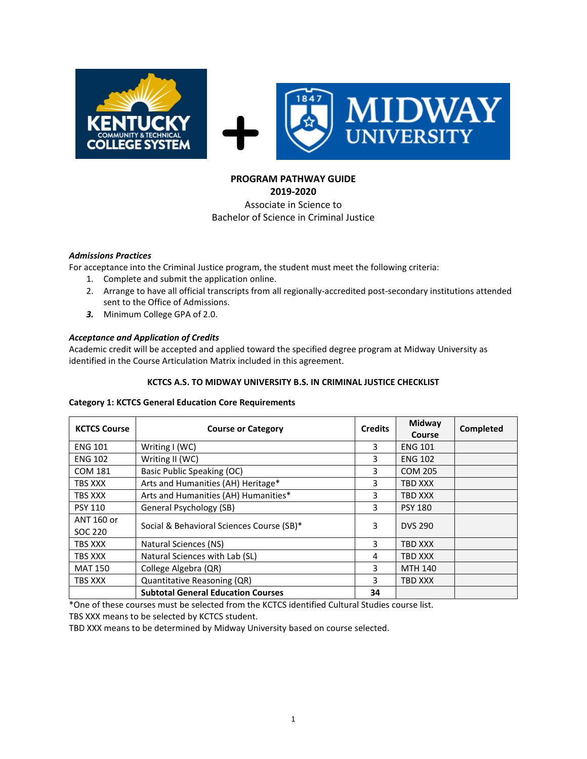

#### **PROGRAM PATHWAY GUIDE 2019-2020**

# Associate in Science to Bachelor of Science in Criminal Justice

# *Admissions Practices*

For acceptance into the Criminal Justice program, the student must meet the following criteria:

- 1. Complete and submit the application online.
- 2. Arrange to have all official transcripts from all regionally-accredited post-secondary institutions attended sent to the Office of Admissions.
- *3.* Minimum College GPA of 2.0.

# *Acceptance and Application of Credits*

Academic credit will be accepted and applied toward the specified degree program at Midway University as identified in the Course Articulation Matrix included in this agreement.

#### **KCTCS A.S. TO MIDWAY UNIVERSITY B.S. IN CRIMINAL JUSTICE CHECKLIST**

#### **Category 1: KCTCS General Education Core Requirements**

| <b>KCTCS Course</b>   | <b>Course or Category</b>                 | <b>Credits</b> | Midway<br>Course | Completed |
|-----------------------|-------------------------------------------|----------------|------------------|-----------|
| <b>ENG 101</b>        | Writing $I(WC)$                           | 3              | <b>ENG 101</b>   |           |
| <b>ENG 102</b>        | Writing II (WC)                           | 3              | <b>ENG 102</b>   |           |
| <b>COM 181</b>        | Basic Public Speaking (OC)                | 3              | <b>COM 205</b>   |           |
| TBS XXX               | Arts and Humanities (AH) Heritage*        | 3              | TBD XXX          |           |
| TBS XXX               | Arts and Humanities (AH) Humanities*      | 3              | TBD XXX          |           |
| <b>PSY 110</b>        | General Psychology (SB)                   |                | <b>PSY 180</b>   |           |
| ANT 160 or<br>SOC 220 | Social & Behavioral Sciences Course (SB)* |                | <b>DVS 290</b>   |           |
| TBS XXX               | Natural Sciences (NS)                     | 3              | <b>TBD XXX</b>   |           |
| TBS XXX               | Natural Sciences with Lab (SL)            | 4              | <b>TBD XXX</b>   |           |
| <b>MAT 150</b>        | College Algebra (QR)                      | 3              | <b>MTH 140</b>   |           |
| TBS XXX               | Quantitative Reasoning (QR)               | 3              | TBD XXX          |           |
|                       | <b>Subtotal General Education Courses</b> | 34             |                  |           |

\*One of these courses must be selected from the KCTCS identified Cultural Studies course list.

TBS XXX means to be selected by KCTCS student.

TBD XXX means to be determined by Midway University based on course selected.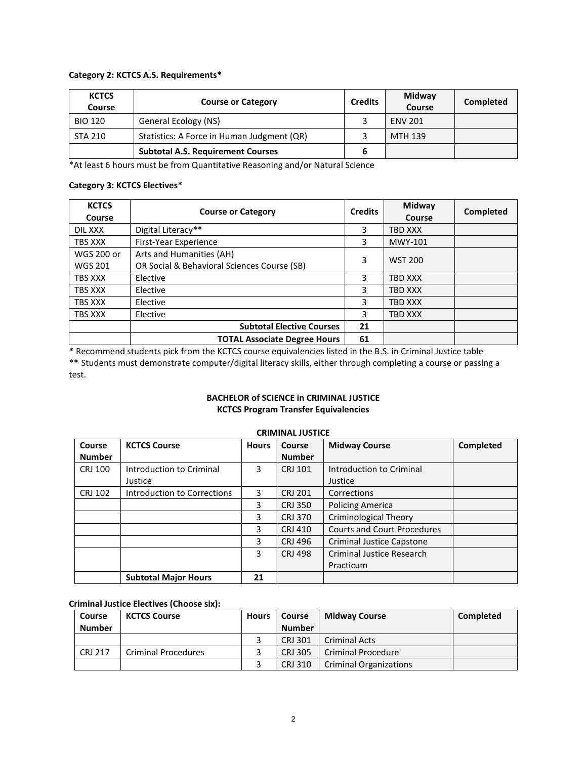#### **Category 2: KCTCS A.S. Requirements\***

| <b>KCTCS</b><br>Course | <b>Course or Category</b>                  |  | Midway<br>Course | Completed |
|------------------------|--------------------------------------------|--|------------------|-----------|
| <b>BIO 120</b>         | General Ecology (NS)                       |  | <b>ENV 201</b>   |           |
| <b>STA 210</b>         | Statistics: A Force in Human Judgment (QR) |  | MTH 139          |           |
|                        | <b>Subtotal A.S. Requirement Courses</b>   |  |                  |           |

\*At least 6 hours must be from Quantitative Reasoning and/or Natural Science

#### **Category 3: KCTCS Electives\***

| <b>KCTCS</b><br>Course              | <b>Course or Category</b>                                               | <b>Credits</b> | Midway<br>Course | Completed |
|-------------------------------------|-------------------------------------------------------------------------|----------------|------------------|-----------|
| DIL XXX                             | Digital Literacy**                                                      | 3              | TBD XXX          |           |
| TBS XXX                             | First-Year Experience                                                   | 3              | MWY-101          |           |
| <b>WGS 200 or</b><br><b>WGS 201</b> | Arts and Humanities (AH)<br>OR Social & Behavioral Sciences Course (SB) | 3              | <b>WST 200</b>   |           |
| <b>TBS XXX</b>                      | Elective                                                                | 3              | TBD XXX          |           |
| <b>TBS XXX</b>                      | Elective                                                                | 3              | TBD XXX          |           |
| TBS XXX                             | Elective                                                                | 3              | TBD XXX          |           |
| TBS XXX                             | Elective                                                                | 3              | TBD XXX          |           |
|                                     | <b>Subtotal Elective Courses</b>                                        | 21             |                  |           |
|                                     | <b>TOTAL Associate Degree Hours</b>                                     | 61             |                  |           |

**\*** Recommend students pick from the KCTCS course equivalencies listed in the B.S. in Criminal Justice table \*\* Students must demonstrate computer/digital literacy skills, either through completing a course or passing a test.

# **BACHELOR of SCIENCE in CRIMINAL JUSTICE KCTCS Program Transfer Equivalencies**

| Course         | <b>KCTCS Course</b>         | <b>Hours</b> | <b>Course</b>  | <b>Midway Course</b>               | Completed |
|----------------|-----------------------------|--------------|----------------|------------------------------------|-----------|
| <b>Number</b>  |                             |              | <b>Number</b>  |                                    |           |
| CRJ 100        | Introduction to Criminal    | 3            | <b>CRJ 101</b> | Introduction to Criminal           |           |
|                | Justice                     |              |                | Justice                            |           |
| <b>CRJ 102</b> | Introduction to Corrections | 3.           | <b>CRJ 201</b> | Corrections                        |           |
|                |                             | 3            | <b>CRJ 350</b> | <b>Policing America</b>            |           |
|                |                             | 3            | <b>CRJ 370</b> | <b>Criminological Theory</b>       |           |
|                |                             | 3            | CRJ 410        | <b>Courts and Court Procedures</b> |           |
|                |                             | 3            | CRJ 496        | <b>Criminal Justice Capstone</b>   |           |
|                |                             | 3            | <b>CRJ 498</b> | Criminal Justice Research          |           |
|                |                             |              |                | Practicum                          |           |
|                | <b>Subtotal Major Hours</b> | 21           |                |                                    |           |

# **CRIMINAL JUSTICE**

# **Criminal Justice Electives (Choose six):**

| Course         | <b>KCTCS Course</b>        | <b>Hours</b> | <b>Course</b>  | <b>Midway Course</b>          | Completed |
|----------------|----------------------------|--------------|----------------|-------------------------------|-----------|
| Number         |                            |              | <b>Number</b>  |                               |           |
|                |                            |              | <b>CRJ 301</b> | <b>Criminal Acts</b>          |           |
| <b>CRJ 217</b> | <b>Criminal Procedures</b> |              | <b>CRJ 305</b> | <b>Criminal Procedure</b>     |           |
|                |                            |              | CRJ 310        | <b>Criminal Organizations</b> |           |